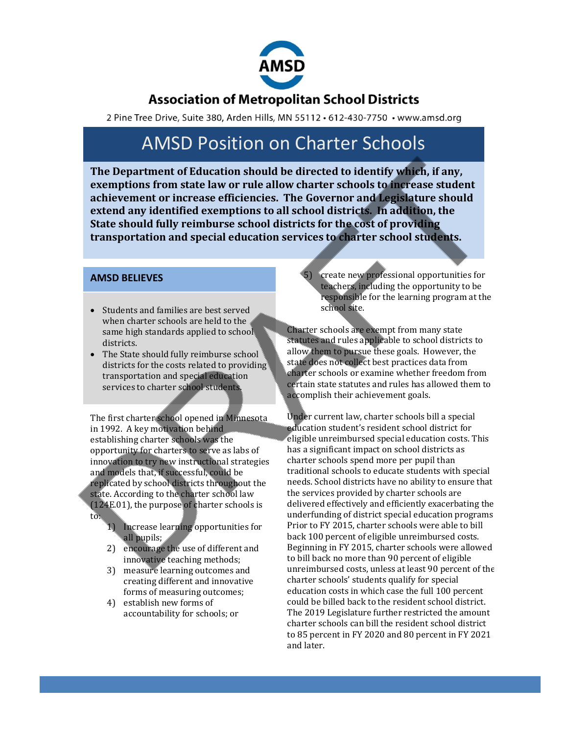

### **Association of Metropolitan School Districts**

2 Pine Tree Drive, Suite 380, Arden Hills, MN 55112 · 612-430-7750 · www.amsd.org

# AMSD Position on Charter Schools

**The Department of Education should be directed to identify which, if any, exemptions from state law or rule allow charter schools to increase student achievement or increase efficiencies. The Governor and Legislature should extend any identified exemptions to all school districts. In addition, the State should fully reimburse school districts for the cost of providing transportation and special education services to charter school students.**

### **AMSD BELIEVES**

- Students and families are best served when charter schools are held to the same high standards applied to school districts.
- The State should fully reimburse school districts for the costs related to providing transportation and special education services to charter school students.

The first charter school opened in Minnesota in 1992. A key motivation behind establishing charter schools was the opportunity for charters to serve as labs of innovation to try new instructional strategies and models that, if successful, could be replicated by school districts throughout the state. According to the charter school law (124E.01), the purpose of charter schools is to:

- 1) Increase learning opportunities for all pupils;
- 2) encourage the use of different and innovative teaching methods;
- 3) measure learning outcomes and creating different and innovative forms of measuring outcomes;
- 4) establish new forms of accountability for schools; or

5) create new professional opportunities for teachers, including the opportunity to be responsible for the learning program at the school site.

Charter schools are exempt from many state statutes and rules applicable to school districts to allow them to pursue these goals. However, the state does not collect best practices data from charter schools or examine whether freedom from certain state statutes and rules has allowed them to accomplish their achievement goals.

Under current law, charter schools bill a special education student's resident school district for eligible unreimbursed special education costs. This has a significant impact on school districts as charter schools spend more per pupil than traditional schools to educate students with special needs. School districts have no ability to ensure that the services provided by charter schools are delivered effectively and efficiently exacerbating the underfunding of district special education programs. Prior to FY 2015, charter schools were able to bill back 100 percent of eligible unreimbursed costs. Beginning in FY 2015, charter schools were allowed to bill back no more than 90 percent of eligible unreimbursed costs, unless at least 90 percent of the charter schools' students qualify for special education costs in which case the full 100 percent could be billed back to the resident school district. The 2019 Legislature further restricted the amount charter schools can bill the resident school district to 85 percent in FY 2020 and 80 percent in FY 2021 and later.